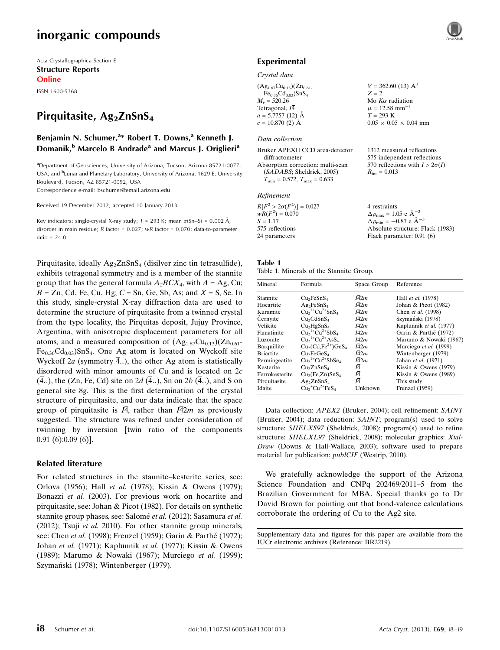# inorganic compounds

Acta Crystallographica Section E Structure Reports Online

ISSN 1600-5368

# Pirquitasite, Ag<sub>2</sub>ZnSnS<sub>4</sub>

### Benjamin N. Schumer,<sup>a\*</sup> Robert T. Downs,<sup>a</sup> Kenneth J. Domanik,<sup>b</sup> Marcelo B Andrade<sup>a</sup> and Marcus J. Origlieri<sup>a</sup>

<sup>a</sup> Department of Geosciences, University of Arizona, Tucson, Arizona 85721-0077, USA, and <sup>b</sup>Lunar and Planetary Laboratory, University of Arizona, 1629 E. University Boulevard, Tucson, AZ 85721-0092, USA Correspondence e-mail: [bschumer@email.arizona.edu](https://scripts.iucr.org/cgi-bin/cr.cgi?rm=pdfbb&cnor=br2219&bbid=BB24)

Received 19 December 2012; accepted 10 January 2013

Key indicators: single-crystal X-ray study;  $T$  = 293 K; mean  $\sigma$ (Sn–S) = 0.002 Å; disorder in main residue; R factor = 0.027; wR factor = 0.070; data-to-parameter ratio = 24.0.

Pirquitasite, ideally  $Ag_2ZnSnS_4$  (disilver zinc tin tetrasulfide), exhibits tetragonal symmetry and is a member of the stannite group that has the general formula  $A_2BCX_4$ , with  $A = Ag$ , Cu;  $B = Zn$ , Cd, Fe, Cu, Hg;  $C = Sn$ , Ge, Sb, As; and  $X = S$ , Se. In this study, single-crystal X-ray diffraction data are used to determine the structure of pirquitasite from a twinned crystal from the type locality, the Pirquitas deposit, Jujuy Province, Argentina, with anisotropic displacement parameters for all atoms, and a measured composition of  $(Ag_{1.87}Cu_{0.13})(Zn_{0.61} Fe<sub>0.36</sub>Cd<sub>0.03</sub>SnS<sub>4</sub>$ . One Ag atom is located on Wyckoff site Wyckoff  $2a$  (symmetry 4..), the other Ag atom is statistically disordered with minor amounts of Cu and is located on 2c  $(\overline{4}..)$ , the (Zn, Fe, Cd) site on 2d  $(\overline{4}..)$ , Sn on 2b  $(\overline{4}..)$ , and S on general site 8g. This is the first determination of the crystal structure of pirquitasite, and our data indicate that the space group of pirquitasite is  $I\overline{4}$ , rather than  $I\overline{4}2m$  as previously suggested. The structure was refined under consideration of twinning by inversion [twin ratio of the components 0.91 (6):0.09 (6)].

### Related literature

For related structures in the stannite–kesterite series, see: Orlova (1956); Hall et al. (1978); Kissin & Owens (1979); Bonazzi et al. (2003). For previous work on hocartite and pirquitasite, see: Johan & Picot (1982). For details on synthetic stannite group phases, see: Salomé et al. (2012); Sasamura et al. (2012); Tsuji et al. 2010). For other stannite group minerals, see: Chen et al. (1998); Frenzel (1959); Garin & Parthé (1972); Johan et al. (1971); Kaplunnik et al. (1977); Kissin & Owens (1989); Marumo & Nowaki (1967); Murciego et al. (1999); Szymański (1978); Wintenberger (1979).

### Experimental

#### Crystal data

| $V = 362.60(13)$ $\AA^3$       |
|--------------------------------|
| $Z = 2$                        |
| Mo $K\alpha$ radiation         |
| $\mu = 12.58$ mm <sup>-1</sup> |
| $T = 293 \text{ K}$            |
| $0.05 \times 0.05 \times 0.04$ |
|                                |

### Data collection

| Bruker APEXII CCD area-detector                  |
|--------------------------------------------------|
| diffractometer                                   |
| Absorption correction: multi-scan                |
| (SADABS; Sheldrick, 2005)                        |
| $T_{\text{min}} = 0.572, T_{\text{max}} = 0.633$ |

#### Refinement

| $R[F^2 > 2\sigma(F^2)] = 0.027$ | 4 restraints                                         |
|---------------------------------|------------------------------------------------------|
| $wR(F^2) = 0.070$               | $\Delta \rho_{\text{max}} = 1.05 \text{ e A}^{-3}$   |
| $S = 1.17$                      | $\Delta \rho_{\text{min}} = -0.87$ e $\rm{\AA}^{-3}$ |
| 575 reflections                 | Absolute structure: Flack (1983)                     |
| 24 parameters                   | Flack parameter: $0.91(6)$                           |

 $0.05 \times 0.04$  mm

1312 measured reflections 575 independent reflections 570 reflections with  $I > 2\sigma(I)$ 

 $R_{\text{int}} = 0.013$ 

#### Table 1

#### Table 1. Minerals of the Stannite Group.

| Mineral          | Formula                                 | Space Group       | Reference               |
|------------------|-----------------------------------------|-------------------|-------------------------|
| Stannite         | Cu <sub>2</sub> FeSnS <sub>4</sub>      | I42m              | Hall et al. (1978)      |
| Hocartite        | $Ag_2FeSnS_4$                           | $I\overline{42}m$ | Johan & Picot (1982)    |
| Kuramite         | $Cu21+ Cu2+ SnS4$                       | $I\overline{42}m$ | Chen et al. (1998)      |
| Cernvite         | Cu <sub>2</sub> CdSnS <sub>4</sub>      | $I\overline{42}m$ | Szymański (1978)        |
| Velikite         | Cu <sub>2</sub> HgSnS <sub>4</sub>      | $I\overline{42}m$ | Kaplunnik et al. (1977) |
| Famatinite       | $Cu1+Cu2+SbS4$                          | $I\overline{42}m$ | Garin & Parthé (1972)   |
| Luzonite         | $Cu21+ Cu2+ AsS4$                       | I42m              | Marumo & Nowaki (1967)  |
| Barquillite      | $Cu2(Cd, Fe2+)GeS4$                     | $I\overline{42}m$ | Murciego et al. (1999)  |
| <b>Briartite</b> | Cu <sub>2</sub> FeGeS <sub>4</sub>      | $I\overline{42}m$ | Wintenberger (1979)     |
| Permingeatite    | $Cu21+ Cu2+ SbSe4$                      | $I\overline{42}m$ | Johan et al. (1971)     |
| Kesterite        | Cu <sub>2</sub> ZnSnS <sub>4</sub>      | Ι4                | Kissin & Owens $(1979)$ |
| Ferrokesterite   | Cu <sub>2</sub> (Fe,Zn)SnS <sub>4</sub> | I4                | Kissin & Owens $(1989)$ |
| Pirquitasite     | $Ag_2ZnSnS_4$                           | I4                | This study              |
| Idaite           | $Cu2+ Cu2+ FeS4$                        | Unknown           | Frenzel (1959)          |
|                  |                                         |                   |                         |

Data collection: APEX2 (Bruker, 2004); cell refinement: SAINT (Bruker, 2004); data reduction: SAINT; program(s) used to solve structure: SHELXS97 (Sheldrick, 2008); program(s) used to refine structure: SHELXL97 (Sheldrick, 2008); molecular graphics: Xtal-Draw (Downs & Hall-Wallace, 2003); software used to prepare material for publication: *publCIF* (Westrip, 2010).

We gratefully acknowledge the support of the Arizona Science Foundation and CNPq 202469/2011–5 from the Brazilian Government for MBA. Special thanks go to Dr David Brown for pointing out that bond-valence calculations corroborate the ordering of Cu to the Ag2 site.

Supplementary data and figures for this paper are available from the IUCr electronic archives (Reference: BR2219).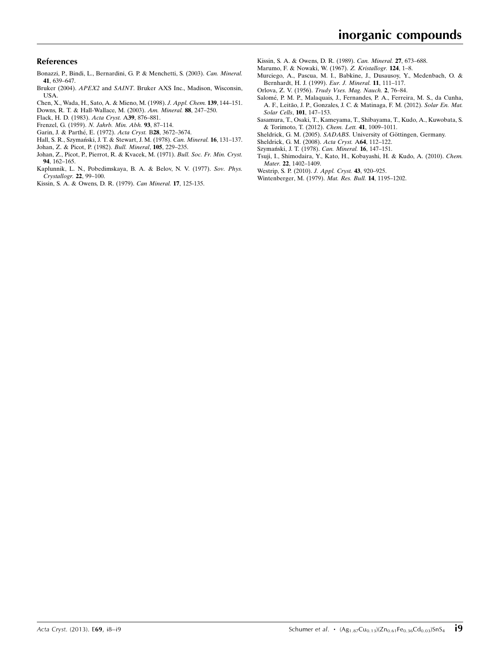### References

- [Bonazzi, P., Bindi, L., Bernardini, G. P. & Menchetti, S. \(2003\).](https://scripts.iucr.org/cgi-bin/cr.cgi?rm=pdfbb&cnor=br2219&bbid=BB1) Can. Mineral. 41[, 639–647.](https://scripts.iucr.org/cgi-bin/cr.cgi?rm=pdfbb&cnor=br2219&bbid=BB1)
- Bruker (2004). APEX2 and SAINT[. Bruker AXS Inc., Madison, Wisconsin,](https://scripts.iucr.org/cgi-bin/cr.cgi?rm=pdfbb&cnor=br2219&bbid=BB2) [USA.](https://scripts.iucr.org/cgi-bin/cr.cgi?rm=pdfbb&cnor=br2219&bbid=BB2)
- [Chen, X., Wada, H., Sato, A. & Mieno, M. \(1998\).](https://scripts.iucr.org/cgi-bin/cr.cgi?rm=pdfbb&cnor=br2219&bbid=BB3) J. Appl. Chem. 139, 144–151. [Downs, R. T. & Hall-Wallace, M. \(2003\).](https://scripts.iucr.org/cgi-bin/cr.cgi?rm=pdfbb&cnor=br2219&bbid=BB4) Am. Mineral. 88, 247–250.
- 
- [Flack, H. D. \(1983\).](https://scripts.iucr.org/cgi-bin/cr.cgi?rm=pdfbb&cnor=br2219&bbid=BB5) Acta Cryst. A39, 876–881.
- Frenzel, G. (1959). [N. Jahrb. Min. Abh.](https://scripts.iucr.org/cgi-bin/cr.cgi?rm=pdfbb&cnor=br2219&bbid=BB6) 93, 87–114. Garin, J. & Parthé, E. (1972). Acta Cryst. B28, 3672-3674.
- Hall, S. R., Szymański, J. T. & Stewart, J. M. (1978). Can. Mineral. 16, 131-137.
- [Johan, Z. & Picot, P. \(1982\).](https://scripts.iucr.org/cgi-bin/cr.cgi?rm=pdfbb&cnor=br2219&bbid=BB9) Bull. Mineral, 105, 229–235.
- 
- [Johan, Z., Picot, P., Pierrot, R. & Kvacek, M. \(1971\).](https://scripts.iucr.org/cgi-bin/cr.cgi?rm=pdfbb&cnor=br2219&bbid=BB10) Bull. Soc. Fr. Min. Cryst. 94[, 162–165.](https://scripts.iucr.org/cgi-bin/cr.cgi?rm=pdfbb&cnor=br2219&bbid=BB10)
- [Kaplunnik, L. N., Pobedimskaya, B. A. & Belov, N. V. \(1977\).](https://scripts.iucr.org/cgi-bin/cr.cgi?rm=pdfbb&cnor=br2219&bbid=BB11) Sov. Phys. [Crystallogr.](https://scripts.iucr.org/cgi-bin/cr.cgi?rm=pdfbb&cnor=br2219&bbid=BB11) 22, 99–100.
- [Kissin, S. A. & Owens, D. R. \(1979\).](https://scripts.iucr.org/cgi-bin/cr.cgi?rm=pdfbb&cnor=br2219&bbid=BB12) Can Mineral. 17, 125-135.
- [Kissin, S. A. & Owens, D. R. \(1989\).](https://scripts.iucr.org/cgi-bin/cr.cgi?rm=pdfbb&cnor=br2219&bbid=BB13) Can. Mineral. 27, 673–688.
- [Marumo, F. & Nowaki, W. \(1967\).](https://scripts.iucr.org/cgi-bin/cr.cgi?rm=pdfbb&cnor=br2219&bbid=BB14) Z. Kristallogr. 124, 1–8.
- [Murciego, A., Pascua, M. I., Babkine, J., Dusausoy, Y., Medenbach, O. &](https://scripts.iucr.org/cgi-bin/cr.cgi?rm=pdfbb&cnor=br2219&bbid=BB15) [Bernhardt, H. J. \(1999\).](https://scripts.iucr.org/cgi-bin/cr.cgi?rm=pdfbb&cnor=br2219&bbid=BB15) Eur. J. Mineral. 11, 111–117.
- Orlova, Z. V. (1956). [Trudy Vses. Mag. Nauch.](https://scripts.iucr.org/cgi-bin/cr.cgi?rm=pdfbb&cnor=br2219&bbid=BB16) 2, 76–84.
- Salomé, P. M. P., Malaquais, J., Fernandes, P. A., Ferreira, M. S., da Cunha, A. F., Leitão, J. P., Gonzales, J. C. & Matinaga, F. M. (2012). Solar En. Mat. [Solar Cells](https://scripts.iucr.org/cgi-bin/cr.cgi?rm=pdfbb&cnor=br2219&bbid=BB17), 101, 147–153.
- [Sasamura, T., Osaki, T., Kameyama, T., Shibayama, T., Kudo, A., Kuwobata, S.](https://scripts.iucr.org/cgi-bin/cr.cgi?rm=pdfbb&cnor=br2219&bbid=BB18) [& Torimoto, T. \(2012\).](https://scripts.iucr.org/cgi-bin/cr.cgi?rm=pdfbb&cnor=br2219&bbid=BB18) Chem. Lett. 41, 1009–1011.
- Sheldrick, G. M. (2005). SADABS. University of Göttingen, Germany.
- [Sheldrick, G. M. \(2008\).](https://scripts.iucr.org/cgi-bin/cr.cgi?rm=pdfbb&cnor=br2219&bbid=BB20) Acta Cryst. A64, 112–122.
- Szymański, J. T. (1978). Can. Mineral. 16, 147-151.
- [Tsuji, I., Shimodaira, Y., Kato, H., Kobayashi, H. & Kudo, A. \(2010\).](https://scripts.iucr.org/cgi-bin/cr.cgi?rm=pdfbb&cnor=br2219&bbid=BB22) Chem. Mater. 22[, 1402–1409.](https://scripts.iucr.org/cgi-bin/cr.cgi?rm=pdfbb&cnor=br2219&bbid=BB22)
- [Westrip, S. P. \(2010\).](https://scripts.iucr.org/cgi-bin/cr.cgi?rm=pdfbb&cnor=br2219&bbid=BB23) J. Appl. Cryst. 43, 920–925.
- [Wintenberger, M. \(1979\).](https://scripts.iucr.org/cgi-bin/cr.cgi?rm=pdfbb&cnor=br2219&bbid=BB24) Mat. Res. Bull. 14, 1195–1202.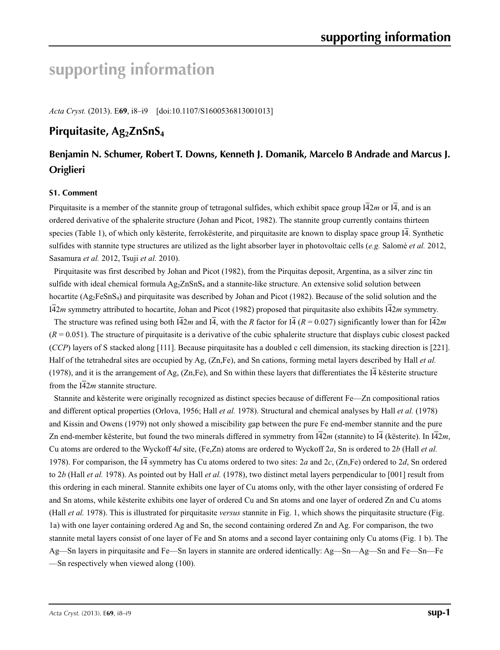# **supporting information**

*Acta Cryst.* (2013). E**69**, i8–i9 [doi:10.1107/S1600536813001013]

# Pirquitasite, Ag<sub>2</sub>ZnSnS<sub>4</sub>

# **Benjamin N. Schumer, Robert T. Downs, Kenneth J. Domanik, Marcelo B Andrade and Marcus J. Origlieri**

### **S1. Comment**

Pirquitasite is a member of the stannite group of tetragonal sulfides, which exhibit space group  $I\overline{4}2m$  or  $I\overline{4}$ , and is an ordered derivative of the sphalerite structure (Johan and Picot, 1982). The stannite group currently contains thirteen species (Table 1), of which only kësterite, ferrokësterite, and pirquitasite are known to display space group I4. Synthetic sulfides with stannite type structures are utilized as the light absorber layer in photovoltaic cells (*e.g.* Salomé *et al.* 2012, Sasamura *et al.* 2012, Tsuji *et al.* 2010).

Pirquitasite was first described by Johan and Picot (1982), from the Pirquitas deposit, Argentina, as a silver zinc tin sulfide with ideal chemical formula  $Ag_2ZnSnS_4$  and a stannite-like structure. An extensive solid solution between hocartite  $(Ag_2FeSnS_4)$  and pirquitasite was described by Johan and Picot (1982). Because of the solid solution and the I42*m* symmetry attributed to hocartite, Johan and Picot (1982) proposed that pirquitasite also exhibits I42*m* symmetry.

The structure was refined using both  $\overline{14}2m$  and  $\overline{14}$ , with the *R* factor for  $\overline{14}$  ( $R = 0.027$ ) significantly lower than for  $\overline{14}2m$  $(R = 0.051)$ . The structure of pirquitasite is a derivative of the cubic sphalerite structure that displays cubic closest packed (*CCP*) layers of S stacked along [111]. Because pirquitasite has a doubled c cell dimension, its stacking direction is [221]. Half of the tetrahedral sites are occupied by Ag, (Zn,Fe), and Sn cations, forming metal layers described by Hall *et al.* (1978), and it is the arrangement of Ag,  $(Zn, Fe)$ , and Sn within these layers that differentiates the  $I\overline{4}$  kësterite structure from the  $142m$  stannite structure.

Stannite and kësterite were originally recognized as distinct species because of different Fe—Zn compositional ratios and different optical properties (Orlova, 1956; Hall *et al.* 1978). Structural and chemical analyses by Hall *et al.* (1978) and Kissin and Owens (1979) not only showed a miscibility gap between the pure Fe end-member stannite and the pure Zn end-member kësterite, but found the two minerals differed in symmetry from  $\overline{142}m$  (stannite) to  $\overline{14}$  (kësterite). In  $\overline{142}m$ , Cu atoms are ordered to the Wyckoff 4*d* site, (Fe,Zn) atoms are ordered to Wyckoff 2*a*, Sn is ordered to 2*b* (Hall *et al.* 1978). For comparison, the I4 symmetry has Cu atoms ordered to two sites: 2*a* and 2*c*, (Zn,Fe) ordered to 2*d*, Sn ordered to 2*b* (Hall *et al.* 1978). As pointed out by Hall *et al.* (1978), two distinct metal layers perpendicular to [001] result from this ordering in each mineral. Stannite exhibits one layer of Cu atoms only, with the other layer consisting of ordered Fe and Sn atoms, while kësterite exhibits one layer of ordered Cu and Sn atoms and one layer of ordered Zn and Cu atoms (Hall *et al.* 1978). This is illustrated for pirquitasite *versus* stannite in Fig. 1, which shows the pirquitasite structure (Fig. 1a) with one layer containing ordered Ag and Sn, the second containing ordered Zn and Ag. For comparison, the two stannite metal layers consist of one layer of Fe and Sn atoms and a second layer containing only Cu atoms (Fig. 1 b). The Ag—Sn layers in pirquitasite and Fe—Sn layers in stannite are ordered identically: Ag—Sn—Ag—Sn and Fe—Sn—Fe —Sn respectively when viewed along (100).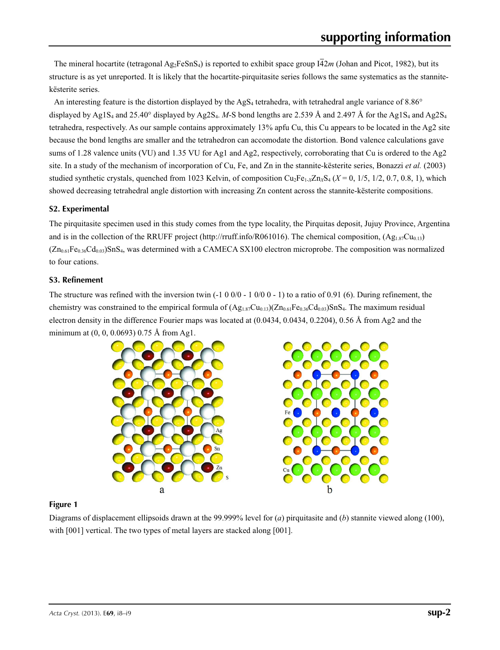The mineral hocartite (tetragonal  $Ag_2FeSnS_4$ ) is reported to exhibit space group  $I\overline{4}2m$  (Johan and Picot, 1982), but its structure is as yet unreported. It is likely that the hocartite-pirquitasite series follows the same systematics as the stannitekësterite series.

An interesting feature is the distortion displayed by the  $AgS<sub>4</sub>$  tetrahedra, with tetrahedral angle variance of 8.86 $^{\circ}$ displayed by Ag1S<sub>4</sub> and 25.40° displayed by Ag2S<sub>4</sub>. *M*-S bond lengths are 2.539 Å and 2.497 Å for the Ag1S<sub>4</sub> and Ag2S<sub>4</sub> tetrahedra, respectively. As our sample contains approximately 13% apfu Cu, this Cu appears to be located in the Ag2 site because the bond lengths are smaller and the tetrahedron can accomodate the distortion. Bond valence calculations gave sums of 1.28 valence units (VU) and 1.35 VU for Ag1 and Ag2, respectively, corroborating that Cu is ordered to the Ag2 site. In a study of the mechanism of incorporation of Cu, Fe, and Zn in the stannite-kësterite series, Bonazzi *et al.* (2003) studied synthetic crystals, quenched from 1023 Kelvin, of composition Cu<sub>2</sub>Fe<sub>1-*x*</sub>Zn<sub>*X*</sub>S<sub>4</sub> (*X* = 0, 1/5, 1/2, 0.7, 0.8, 1), which showed decreasing tetrahedral angle distortion with increasing Zn content across the stannite-kësterite compositions.

## **S2. Experimental**

The pirquitasite specimen used in this study comes from the type locality, the Pirquitas deposit, Jujuy Province, Argentina and is in the collection of the RRUFF project (http://rruff.info/R061016). The chemical composition,  $(Ag_{1.87}Cu_{0.13})$  $(Zn_{0.61}Fe_{0.36}Cd_{0.03})SnS<sub>4</sub>$ , was determined with a CAMECA SX100 electron microprobe. The composition was normalized to four cations.

## **S3. Refinement**

The structure was refined with the inversion twin  $(-1\ 0\ 0\ 0\ -\ 1\ 0\ 0\ 0\ -\ 1)$  to a ratio of 0.91 (6). During refinement, the chemistry was constrained to the empirical formula of  $(Ag_{1.87}Cu_{0.13})(Zn_{0.61}Fe_{0.36}Cd_{0.03})SnS_4$ . The maximum residual electron density in the difference Fourier maps was located at (0.0434, 0.0434, 0.2204), 0.56 Å from Ag2 and the minimum at (0, 0, 0.0693) 0.75 Å from Ag1.



## **Figure 1**

Diagrams of displacement ellipsoids drawn at the 99.999% level for (*a*) pirquitasite and (*b*) stannite viewed along (100), with [001] vertical. The two types of metal layers are stacked along [001].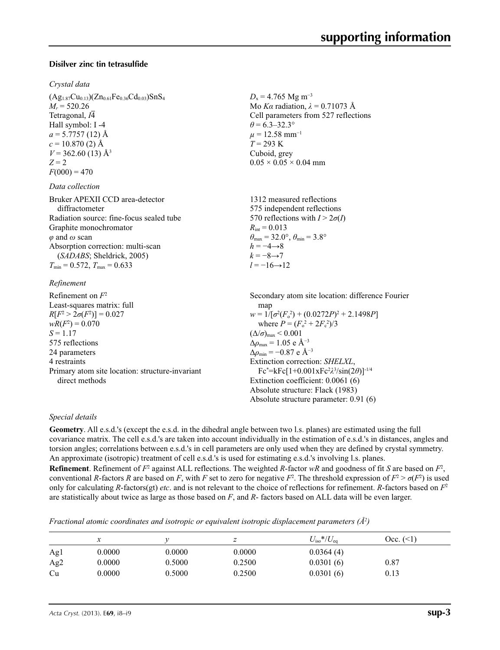### **Disilver zinc tin tetrasulfide**

### *Crystal data*

 $(Ag_{1.87}Cu_{0.13})(Zn_{0.61}Fe_{0.36}Cd_{0.03})SnS<sub>4</sub>$  $M_r = 520.26$ Tetragonal, *I*4 Hall symbol: I -4  $a = 5.7757(12)$  Å  $c = 10.870$  (2) Å  $V = 362.60(13)$  Å<sup>3</sup>  $Z = 2$  $F(000) = 470$ 

### *Data collection*

| Bruker APEXII CCD area-detector          | 1312 measured reflections                                               |
|------------------------------------------|-------------------------------------------------------------------------|
| diffractometer                           | 575 independent reflections                                             |
| Radiation source: fine-focus sealed tube | 570 reflections with $I > 2\sigma(I)$                                   |
| Graphite monochromator                   | $R_{\text{int}} = 0.013$                                                |
| $\varphi$ and $\omega$ scan              | $\theta_{\text{max}} = 32.0^{\circ}, \theta_{\text{min}} = 3.8^{\circ}$ |
| Absorption correction: multi-scan        | $h = -4 \rightarrow 8$                                                  |
| (SADABS; Sheldrick, 2005)                | $k = -8 \rightarrow 7$                                                  |
| $T_{\min}$ = 0.572, $T_{\max}$ = 0.633   | $l = -16 \rightarrow 12$                                                |
|                                          |                                                                         |

### *Refinement*

Refinement on *F*<sup>2</sup> Least-squares matrix: full *R*[ $F^2 > 2\sigma(F^2)$ ] = 0.027  $wR(F^2) = 0.070$  $S = 1.17$ 575 reflections 24 parameters 4 restraints Primary atom site location: structure-invariant direct methods Secondary atom site location: difference Fourier map  $w = 1/[\sigma^2 (F_o^2) + (0.0272P)^2 + 2.1498P]$ where  $P = (F_o^2 + 2F_c^2)/3$  $(\Delta/\sigma)_{\text{max}}$  < 0.001  $Δρ<sub>max</sub> = 1.05 e Å<sup>-3</sup>$  $\Delta\rho_{\rm min} = -0.87$  e Å<sup>-3</sup> Extinction correction: *SHELXL*, Fc\* =kFc[1+0.001xFc2 *λ*3 /sin(2*θ*)]-1/4 Extinction coefficient: 0.0061 (6) Absolute structure: Flack (1983) Absolute structure parameter: 0.91 (6)

### *Special details*

**Geometry**. All e.s.d.'s (except the e.s.d. in the dihedral angle between two l.s. planes) are estimated using the full covariance matrix. The cell e.s.d.'s are taken into account individually in the estimation of e.s.d.'s in distances, angles and torsion angles; correlations between e.s.d.'s in cell parameters are only used when they are defined by crystal symmetry. An approximate (isotropic) treatment of cell e.s.d.'s is used for estimating e.s.d.'s involving l.s. planes. **Refinement**. Refinement of  $F^2$  against ALL reflections. The weighted *R*-factor  $wR$  and goodness of fit *S* are based on  $F^2$ , conventional *R*-factors *R* are based on *F*, with *F* set to zero for negative  $F^2$ . The threshold expression of  $F^2 > \sigma(F^2)$  is used only for calculating *R*-factors(gt) *etc*. and is not relevant to the choice of reflections for refinement. *R*-factors based on *F*<sup>2</sup> are statistically about twice as large as those based on *F*, and *R*- factors based on ALL data will be even larger.

 $D_x = 4.765$  Mg m<sup>-3</sup>

 $0.05 \times 0.05 \times 0.04$  mm

 $\theta$  = 6.3–32.3°  $\mu = 12.58$  mm<sup>-1</sup> *T* = 293 K Cuboid, grey

Mo *Kα* radiation,  $\lambda = 0.71073$  Å Cell parameters from 527 reflections

*Fractional atomic coordinates and isotropic or equivalent isotropic displacement parameters (Å<sup>2</sup>)* 

|     |        |        |        | $U_{\rm iso}*/U_{\rm eq}$ | $Occ.$ (<1) |
|-----|--------|--------|--------|---------------------------|-------------|
| Agl | 0.0000 | 0.0000 | 0.0000 | 0.0364(4)                 |             |
| Ag2 | 0.0000 | 0.5000 | 0.2500 | 0.0301(6)                 | 0.87        |
| Cu  | 0.0000 | 0.5000 | 0.2500 | 0.0301(6)                 | 0.13        |